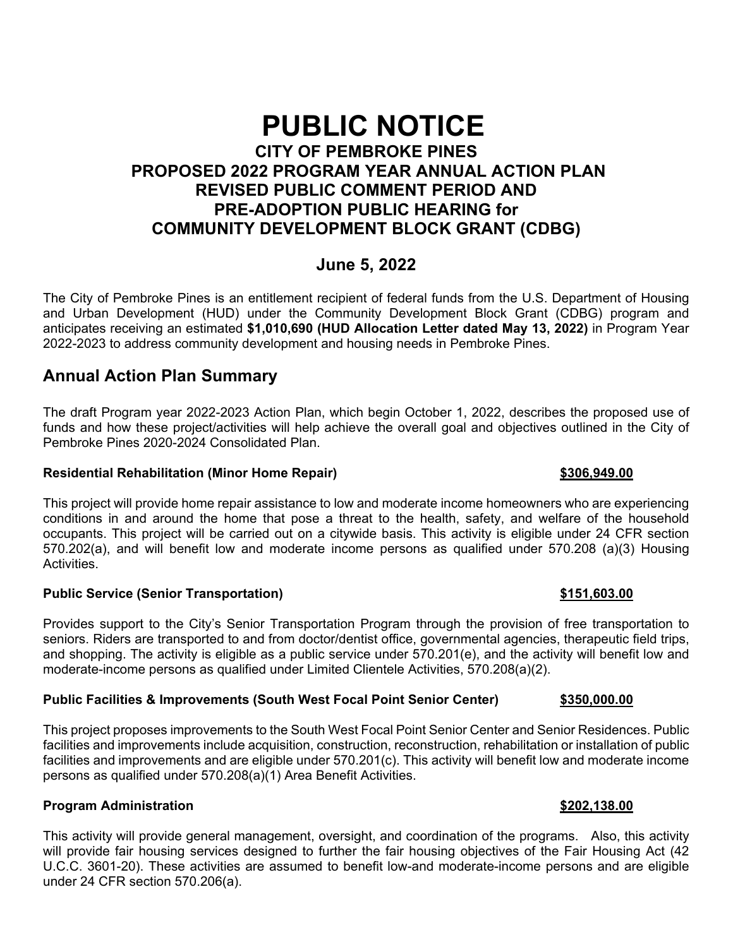# **PUBLIC NOTICE CITY OF PEMBROKE PINES PROPOSED 2022 PROGRAM YEAR ANNUAL ACTION PLAN REVISED PUBLIC COMMENT PERIOD AND PRE-ADOPTION PUBLIC HEARING for COMMUNITY DEVELOPMENT BLOCK GRANT (CDBG)**

## **June 5, 2022**

The City of Pembroke Pines is an entitlement recipient of federal funds from the U.S. Department of Housing and Urban Development (HUD) under the Community Development Block Grant (CDBG) program and anticipates receiving an estimated **\$1,010,690 (HUD Allocation Letter dated May 13, 2022)** in Program Year 2022-2023 to address community development and housing needs in Pembroke Pines.

## **Annual Action Plan Summary**

The draft Program year 2022-2023 Action Plan, which begin October 1, 2022, describes the proposed use of funds and how these project/activities will help achieve the overall goal and objectives outlined in the City of Pembroke Pines 2020-2024 Consolidated Plan.

#### **Residential Rehabilitation (Minor Home Repair) \$306,949.00**

This project will provide home repair assistance to low and moderate income homeowners who are experiencing conditions in and around the home that pose a threat to the health, safety, and welfare of the household occupants. This project will be carried out on a citywide basis. This activity is eligible under 24 CFR section 570.202(a), and will benefit low and moderate income persons as qualified under 570.208 (a)(3) Housing Activities.

### **Public Service (Senior Transportation) \$151,603.00**

Provides support to the City's Senior Transportation Program through the provision of free transportation to seniors. Riders are transported to and from doctor/dentist office, governmental agencies, therapeutic field trips, and shopping. The activity is eligible as a public service under 570.201(e), and the activity will benefit low and moderate-income persons as qualified under Limited Clientele Activities, 570.208(a)(2).

#### **Public Facilities & Improvements (South West Focal Point Senior Center) \$350,000.00**

This project proposes improvements to the South West Focal Point Senior Center and Senior Residences. Public facilities and improvements include acquisition, construction, reconstruction, rehabilitation or installation of public facilities and improvements and are eligible under 570.201(c). This activity will benefit low and moderate income persons as qualified under 570.208(a)(1) Area Benefit Activities.

### **Program Administration \$202,138.00 \$202,138.00**

This activity will provide general management, oversight, and coordination of the programs. Also, this activity will provide fair housing services designed to further the fair housing objectives of the Fair Housing Act (42 U.C.C. 3601-20). These activities are assumed to benefit low-and moderate-income persons and are eligible under 24 CFR section 570.206(a).